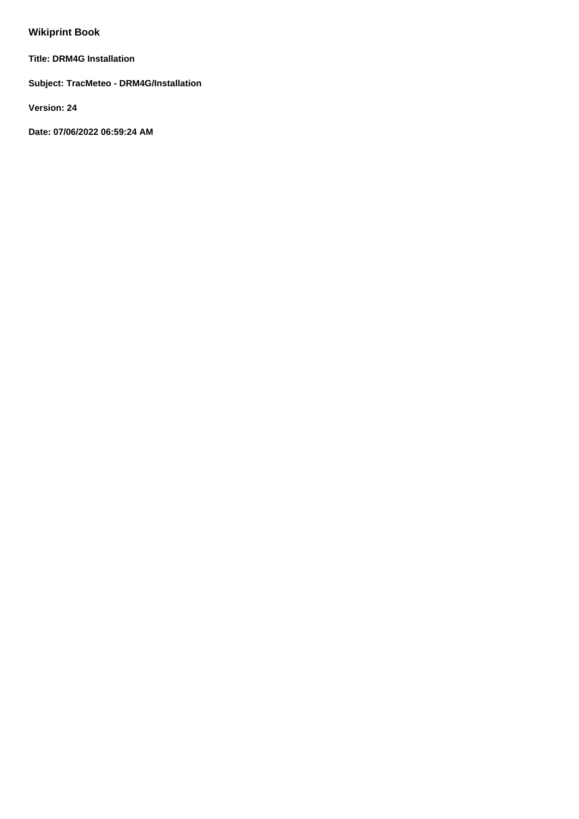# **Wikiprint Book**

**Title: DRM4G Installation**

**Subject: TracMeteo - DRM4G/Installation**

**Version: 24**

**Date: 07/06/2022 06:59:24 AM**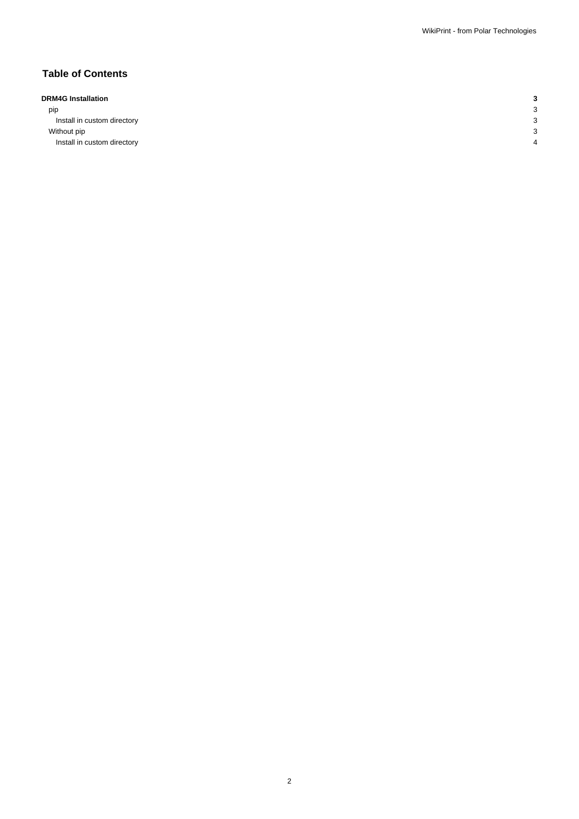## **Table of Contents**

## **DRM4G Installation 3**

| pip                         |  |
|-----------------------------|--|
| Install in custom directory |  |
| Without pip                 |  |
| Install in custom directory |  |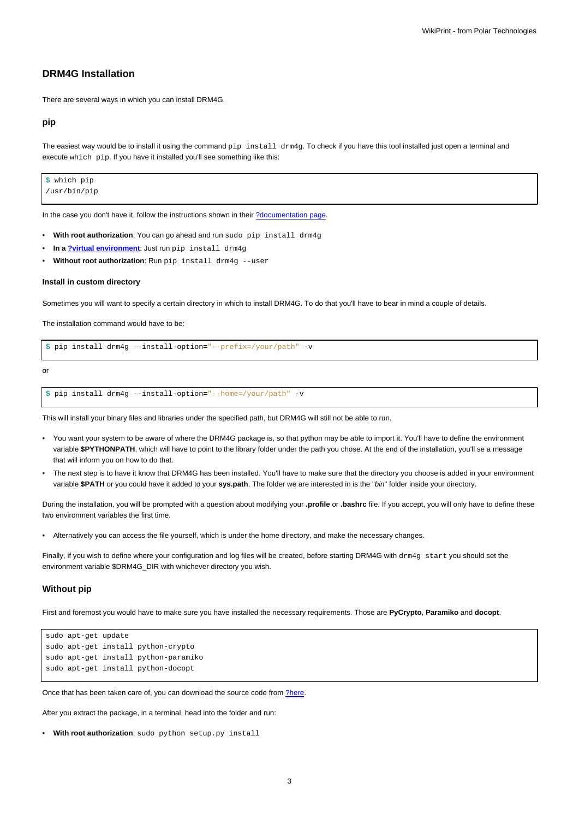## **DRM4G Installation**

There are several ways in which you can install DRM4G.

#### **pip**

The easiest way would be to install it using the command pip install drm4g. To check if you have this tool installed just open a terminal and execute which pip. If you have it installed you'll see something like this:

\$ which pip /usr/bin/pip

In the case you don't have it, follow the instructions shown in their [?documentation page](https://pip.pypa.io/en/stable/installing/).

- **With root authorization**: You can go ahead and run sudo pip install drm4g
- **In a [?virtual environment](https://virtualenv.pypa.io/en/stable/|)**: Just run pip install drm4g
- Without root authorization: Run pip install drm4g --user

#### **Install in custom directory**

Sometimes you will want to specify a certain directory in which to install DRM4G. To do that you'll have to bear in mind a couple of details.

The installation command would have to be:

\$ pip install drm4g --install-option**=**"--prefix=/your/path" -v

or

```
$ pip install drm4g --install-option="--home=/your/path" -v
```
This will install your binary files and libraries under the specified path, but DRM4G will still not be able to run.

- You want your system to be aware of where the DRM4G package is, so that python may be able to import it. You'll have to define the environment variable **\$PYTHONPATH**, which will have to point to the library folder under the path you chose. At the end of the installation, you'll se a message that will inform you on how to do that.
- The next step is to have it know that DRM4G has been installed. You'll have to make sure that the directory you choose is added in your environment variable **\$PATH** or you could have it added to your **sys.path**. The folder we are interested in is the "bin" folder inside your directory.

During the installation, you will be prompted with a question about modifying your **.profile** or **.bashrc** file. If you accept, you will only have to define these two environment variables the first time.

• Alternatively you can access the file yourself, which is under the home directory, and make the necessary changes.

Finally, if you wish to define where your configuration and log files will be created, before starting DRM4G with drm4g start you should set the environment variable \$DRM4G\_DIR with whichever directory you wish.

#### **Without pip**

First and foremost you would have to make sure you have installed the necessary requirements. Those are **PyCrypto**, **Paramiko** and **docopt**.

```
sudo apt-get update
sudo apt-get install python-crypto
sudo apt-get install python-paramiko
sudo apt-get install python-docopt
```
Once that has been taken care of, you can download the source code from [?here.](https://pypi.python.org/packages/33/67/99226fee402a4725fffefdd8d5102f4520175e60b349f53f734cd6836c2a/drm4g-2.5.0b1.tar.gz#md5=3bbbe1041212696ec0f951a3ec7f56f3)

After you extract the package, in a terminal, head into the folder and run:

```
• With root authorization: sudo python setup.py install
```